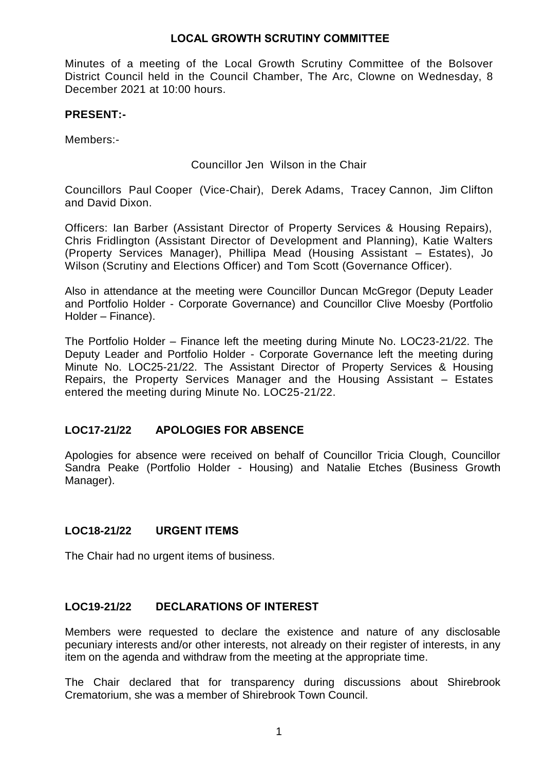Minutes of a meeting of the Local Growth Scrutiny Committee of the Bolsover District Council held in the Council Chamber, The Arc, Clowne on Wednesday, 8 December 2021 at 10:00 hours.

### **PRESENT:-**

Members:-

Councillor Jen Wilson in the Chair

Councillors Paul Cooper (Vice-Chair), Derek Adams, Tracey Cannon, Jim Clifton and David Dixon.

Officers: Ian Barber (Assistant Director of Property Services & Housing Repairs), Chris Fridlington (Assistant Director of Development and Planning), Katie Walters (Property Services Manager), Phillipa Mead (Housing Assistant – Estates), Jo Wilson (Scrutiny and Elections Officer) and Tom Scott (Governance Officer).

Also in attendance at the meeting were Councillor Duncan McGregor (Deputy Leader and Portfolio Holder - Corporate Governance) and Councillor Clive Moesby (Portfolio Holder – Finance).

The Portfolio Holder – Finance left the meeting during Minute No. LOC23-21/22. The Deputy Leader and Portfolio Holder - Corporate Governance left the meeting during Minute No. LOC25-21/22. The Assistant Director of Property Services & Housing Repairs, the Property Services Manager and the Housing Assistant – Estates entered the meeting during Minute No. LOC25-21/22.

# **LOC17-21/22 APOLOGIES FOR ABSENCE**

Apologies for absence were received on behalf of Councillor Tricia Clough, Councillor Sandra Peake (Portfolio Holder - Housing) and Natalie Etches (Business Growth Manager).

# **LOC18-21/22 URGENT ITEMS**

The Chair had no urgent items of business.

### **LOC19-21/22 DECLARATIONS OF INTEREST**

Members were requested to declare the existence and nature of any disclosable pecuniary interests and/or other interests, not already on their register of interests, in any item on the agenda and withdraw from the meeting at the appropriate time.

The Chair declared that for transparency during discussions about Shirebrook Crematorium, she was a member of Shirebrook Town Council.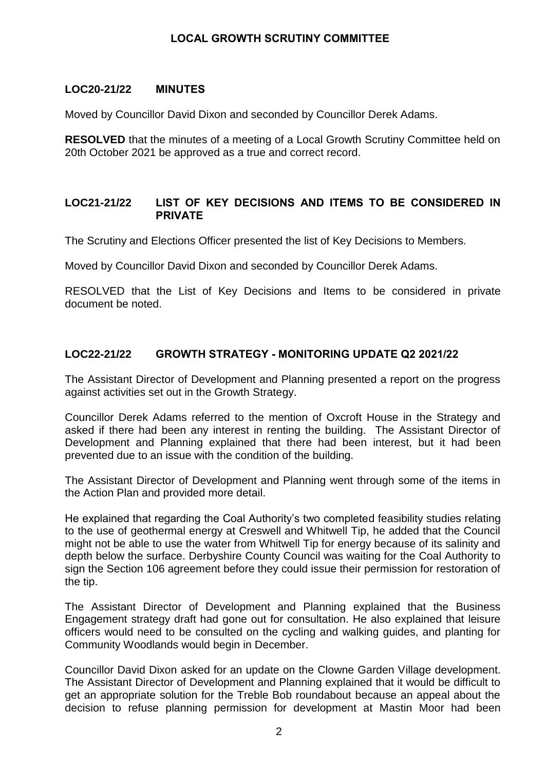### **LOC20-21/22 MINUTES**

Moved by Councillor David Dixon and seconded by Councillor Derek Adams.

**RESOLVED** that the minutes of a meeting of a Local Growth Scrutiny Committee held on 20th October 2021 be approved as a true and correct record.

### **LOC21-21/22 LIST OF KEY DECISIONS AND ITEMS TO BE CONSIDERED IN PRIVATE**

The Scrutiny and Elections Officer presented the list of Key Decisions to Members.

Moved by Councillor David Dixon and seconded by Councillor Derek Adams.

RESOLVED that the List of Key Decisions and Items to be considered in private document be noted.

### **LOC22-21/22 GROWTH STRATEGY - MONITORING UPDATE Q2 2021/22**

The Assistant Director of Development and Planning presented a report on the progress against activities set out in the Growth Strategy.

Councillor Derek Adams referred to the mention of Oxcroft House in the Strategy and asked if there had been any interest in renting the building. The Assistant Director of Development and Planning explained that there had been interest, but it had been prevented due to an issue with the condition of the building.

The Assistant Director of Development and Planning went through some of the items in the Action Plan and provided more detail.

He explained that regarding the Coal Authority's two completed feasibility studies relating to the use of geothermal energy at Creswell and Whitwell Tip, he added that the Council might not be able to use the water from Whitwell Tip for energy because of its salinity and depth below the surface. Derbyshire County Council was waiting for the Coal Authority to sign the Section 106 agreement before they could issue their permission for restoration of the tip.

The Assistant Director of Development and Planning explained that the Business Engagement strategy draft had gone out for consultation. He also explained that leisure officers would need to be consulted on the cycling and walking guides, and planting for Community Woodlands would begin in December.

Councillor David Dixon asked for an update on the Clowne Garden Village development. The Assistant Director of Development and Planning explained that it would be difficult to get an appropriate solution for the Treble Bob roundabout because an appeal about the decision to refuse planning permission for development at Mastin Moor had been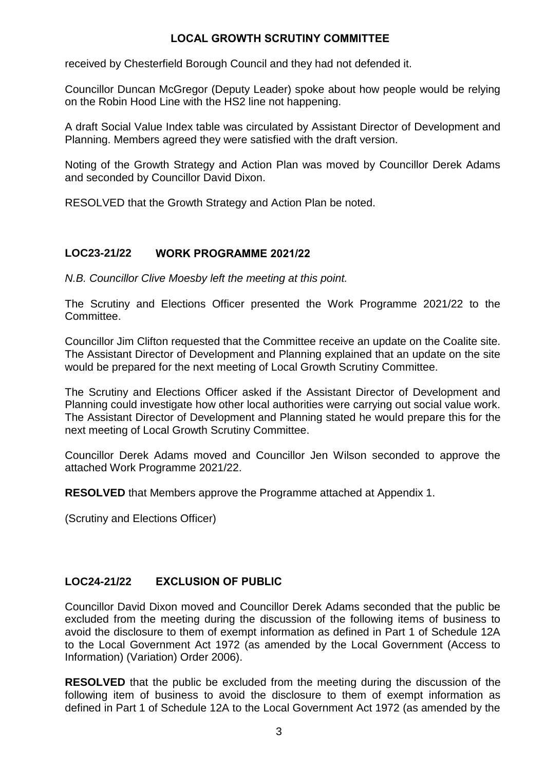received by Chesterfield Borough Council and they had not defended it.

Councillor Duncan McGregor (Deputy Leader) spoke about how people would be relying on the Robin Hood Line with the HS2 line not happening.

A draft Social Value Index table was circulated by Assistant Director of Development and Planning. Members agreed they were satisfied with the draft version.

Noting of the Growth Strategy and Action Plan was moved by Councillor Derek Adams and seconded by Councillor David Dixon.

RESOLVED that the Growth Strategy and Action Plan be noted.

# **LOC23-21/22 WORK PROGRAMME 2021/22**

*N.B. Councillor Clive Moesby left the meeting at this point.*

The Scrutiny and Elections Officer presented the Work Programme 2021/22 to the Committee.

Councillor Jim Clifton requested that the Committee receive an update on the Coalite site. The Assistant Director of Development and Planning explained that an update on the site would be prepared for the next meeting of Local Growth Scrutiny Committee.

The Scrutiny and Elections Officer asked if the Assistant Director of Development and Planning could investigate how other local authorities were carrying out social value work. The Assistant Director of Development and Planning stated he would prepare this for the next meeting of Local Growth Scrutiny Committee.

Councillor Derek Adams moved and Councillor Jen Wilson seconded to approve the attached Work Programme 2021/22.

**RESOLVED** that Members approve the Programme attached at Appendix 1.

(Scrutiny and Elections Officer)

# **LOC24-21/22 EXCLUSION OF PUBLIC**

Councillor David Dixon moved and Councillor Derek Adams seconded that the public be excluded from the meeting during the discussion of the following items of business to avoid the disclosure to them of exempt information as defined in Part 1 of Schedule 12A to the Local Government Act 1972 (as amended by the Local Government (Access to Information) (Variation) Order 2006).

**RESOLVED** that the public be excluded from the meeting during the discussion of the following item of business to avoid the disclosure to them of exempt information as defined in Part 1 of Schedule 12A to the Local Government Act 1972 (as amended by the